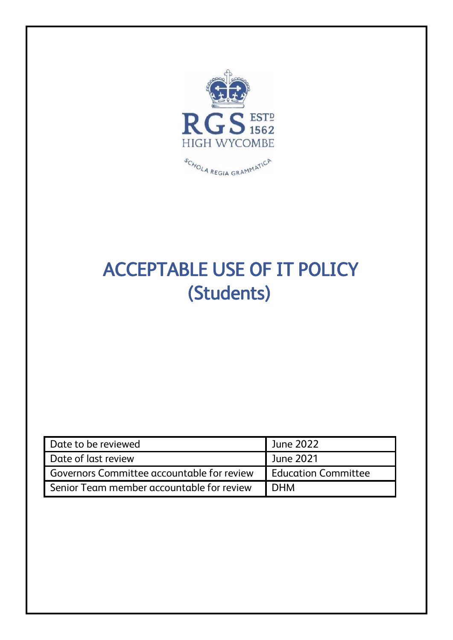

# ACCEPTABLE USE OF IT POLICY (Students)

| Date to be reviewed                               | June 2022                  |
|---------------------------------------------------|----------------------------|
| Date of last review                               | June 2021                  |
| <b>Governors Committee accountable for review</b> | <b>Education Committee</b> |
| Senior Team member accountable for review         | <b>DHM</b>                 |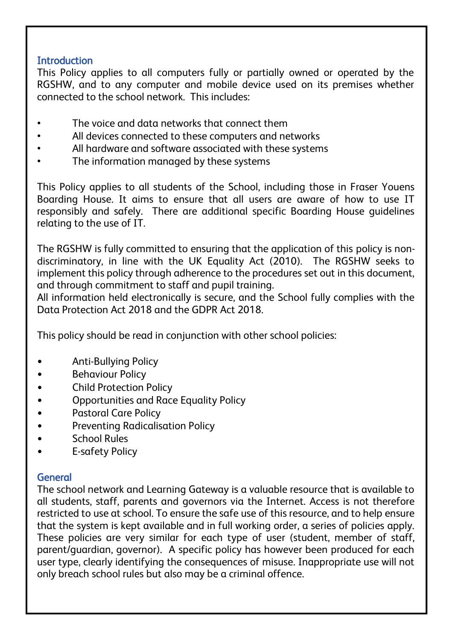# **Introduction**

This Policy applies to all computers fully or partially owned or operated by the RGSHW, and to any computer and mobile device used on its premises whether connected to the school network. This includes:

- The voice and data networks that connect them
- All devices connected to these computers and networks
- All hardware and software associated with these systems
- The information managed by these systems

This Policy applies to all students of the School, including those in Fraser Youens Boarding House. It aims to ensure that all users are aware of how to use IT responsibly and safely. There are additional specific Boarding House guidelines relating to the use of IT.

The RGSHW is fully committed to ensuring that the application of this policy is nondiscriminatory, in line with the UK Equality Act (2010). The RGSHW seeks to implement this policy through adherence to the procedures set out in this document, and through commitment to staff and pupil training.

All information held electronically is secure, and the School fully complies with the Data Protection Act 2018 and the GDPR Act 2018.

This policy should be read in conjunction with other school policies:

- Anti-Bullying Policy
- Behaviour Policy
- Child Protection Policy
- Opportunities and Race Equality Policy
- Pastoral Care Policy
- Preventing Radicalisation Policy
- School Rules
- E-safety Policy

# **General**

The school network and Learning Gateway is a valuable resource that is available to all students, staff, parents and governors via the Internet. Access is not therefore restricted to use at school. To ensure the safe use of this resource, and to help ensure that the system is kept available and in full working order, a series of policies apply. These policies are very similar for each type of user (student, member of staff, parent/guardian, governor). A specific policy has however been produced for each user type, clearly identifying the consequences of misuse. Inappropriate use will not only breach school rules but also may be a criminal offence.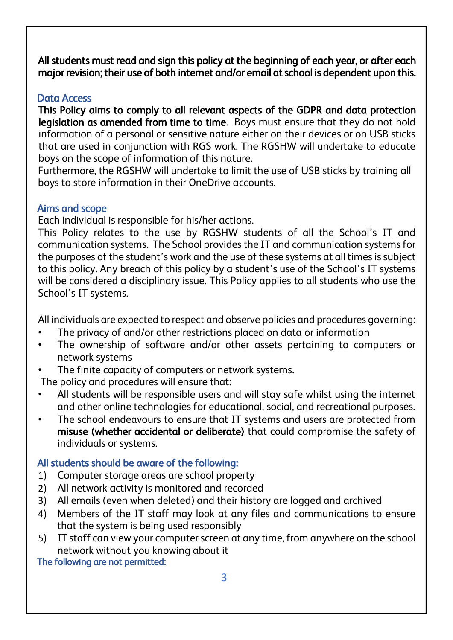All students must read and sign this policy at the beginning of each year, or after each major revision; their use of both internet and/or email at school is dependent upon this.

## Data Access

This Policy aims to comply to all relevant aspects of the GDPR and data protection legislation as amended from time to time. Boys must ensure that they do not hold information of a personal or sensitive nature either on their devices or on USB sticks that are used in conjunction with RGS work. The RGSHW will undertake to educate boys on the scope of information of this nature.

Furthermore, the RGSHW will undertake to limit the use of USB sticks by training all boys to store information in their OneDrive accounts.

## Aims and scope

Each individual is responsible for his/her actions.

This Policy relates to the use by RGSHW students of all the School's IT and communication systems. The School provides the IT and communication systems for the purposes of the student's work and the use of these systems at all times is subject to this policy. Any breach of this policy by a student's use of the School's IT systems will be considered a disciplinary issue. This Policy applies to all students who use the School's IT systems.

All individuals are expected to respect and observe policies and procedures governing:

- The privacy of and/or other restrictions placed on data or information
- The ownership of software and/or other assets pertaining to computers or network systems
- The finite capacity of computers or network systems.

The policy and procedures will ensure that:

- All students will be responsible users and will stay safe whilst using the internet and other online technologies for educational, social, and recreational purposes.
- The school endeavours to ensure that IT systems and users are protected from misuse (whether accidental or deliberate) that could compromise the safety of individuals or systems.

# All students should be aware of the following:

- 1) Computer storage areas are school property
- 2) All network activity is monitored and recorded
- 3) All emails (even when deleted) and their history are logged and archived
- 4) Members of the IT staff may look at any files and communications to ensure that the system is being used responsibly
- 5) IT staff can view your computer screen at any time, from anywhere on the school network without you knowing about it

The following are not permitted: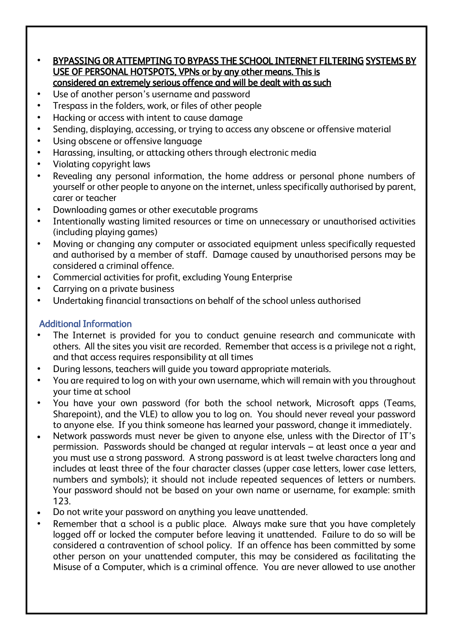#### • BYPASSING OR ATTEMPTING TO BYPASS THE SCHOOL INTERNET FILTERING SYSTEMS BY USE OF PERSONAL HOTSPOTS, VPNs or by any other means. This is considered an extremely serious offence and will be dealt with as such

- Use of another person's username and password
- Trespass in the folders, work, or files of other people
- Hacking or access with intent to cause damage
- Sending, displaying, accessing, or trying to access any obscene or offensive material
- Using obscene or offensive language
- Harassing, insulting, or attacking others through electronic media
- Violating copyright laws
- Revealing any personal information, the home address or personal phone numbers of yourself or other people to anyone on the internet, unless specifically authorised by parent, carer or teacher
- Downloading games or other executable programs
- Intentionally wasting limited resources or time on unnecessary or unauthorised activities (including playing games)
- Moving or changing any computer or associated equipment unless specifically requested and authorised by a member of staff. Damage caused by unauthorised persons may be considered a criminal offence.
- Commercial activities for profit, excluding Young Enterprise
- Carrying on a private business
- Undertaking financial transactions on behalf of the school unless authorised

#### Additional Information

- The Internet is provided for you to conduct genuine research and communicate with others. All the sites you visit are recorded. Remember that access is a privilege not a right, and that access requires responsibility at all times
- During lessons, teachers will guide you toward appropriate materials.
- You are required to log on with your own username, which will remain with you throughout your time at school
- You have your own password (for both the school network, Microsoft apps (Teams, Sharepoint), and the VLE) to allow you to log on. You should never reveal your password to anyone else. If you think someone has learned your password, change it immediately.
- Network passwords must never be given to anyone else, unless with the Director of IT's permission. Passwords should be changed at regular intervals – at least once a year and you must use a strong password. A strong password is at least twelve characters long and includes at least three of the four character classes (upper case letters, lower case letters, numbers and symbols); it should not include repeated sequences of letters or numbers. Your password should not be based on your own name or username, for example: smith 123.
- Do not write your password on anything you leave unattended.
- Remember that a school is a public place. Always make sure that you have completely logged off or locked the computer before leaving it unattended. Failure to do so will be considered a contravention of school policy. If an offence has been committed by some other person on your unattended computer, this may be considered as facilitating the Misuse of a Computer, which is a criminal offence. You are never allowed to use another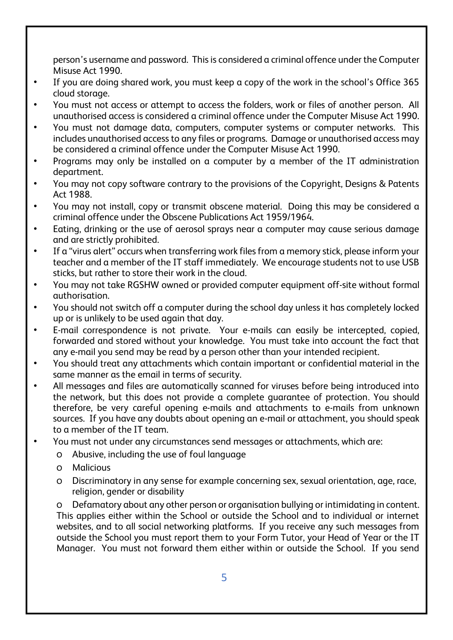person's username and password. This is considered a criminal offence under the Computer Misuse Act 1990.

- If you are doing shared work, you must keep a copy of the work in the school's Office 365 cloud storage.
- You must not access or attempt to access the folders, work or files of another person. All unauthorised access is considered a criminal offence under the Computer Misuse Act 1990.
- You must not damage data, computers, computer systems or computer networks. This includes unauthorised access to any files or programs. Damage or unauthorised access may be considered a criminal offence under the Computer Misuse Act 1990.
- Programs may only be installed on a computer by a member of the IT administration department.
- You may not copy software contrary to the provisions of the Copyright, Designs & Patents Act 1988.
- You may not install, copy or transmit obscene material. Doing this may be considered a criminal offence under the Obscene Publications Act 1959/1964.
- Eating, drinking or the use of aerosol sprays near a computer may cause serious damage and are strictly prohibited.
- If a "virus alert" occurs when transferring work files from a memory stick, please inform your teacher and a member of the IT staff immediately. We encourage students not to use USB sticks, but rather to store their work in the cloud.
- You may not take RGSHW owned or provided computer equipment off-site without formal authorisation.
- You should not switch off a computer during the school day unless it has completely locked up or is unlikely to be used again that day.
- E-mail correspondence is not private. Your e-mails can easily be intercepted, copied, forwarded and stored without your knowledge. You must take into account the fact that any e-mail you send may be read by a person other than your intended recipient.
- You should treat any attachments which contain important or confidential material in the same manner as the email in terms of security.
- All messages and files are automatically scanned for viruses before being introduced into the network, but this does not provide a complete guarantee of protection. You should therefore, be very careful opening e-mails and attachments to e-mails from unknown sources. If you have any doubts about opening an e-mail or attachment, you should speak to a member of the IT team.
- You must not under any circumstances send messages or attachments, which are:
	- o Abusive, including the use of foul language
	- o Malicious
	- o Discriminatory in any sense for example concerning sex, sexual orientation, age, race, religion, gender or disability

Defamatory about any other person or organisation bullying or intimidating in content. This applies either within the School or outside the School and to individual or internet websites, and to all social networking platforms. If you receive any such messages from outside the School you must report them to your Form Tutor, your Head of Year or the IT Manager. You must not forward them either within or outside the School. If you send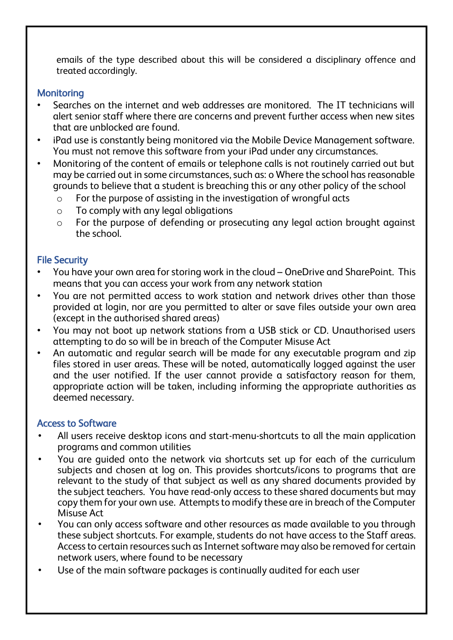emails of the type described about this will be considered a disciplinary offence and treated accordingly.

#### **Monitoring**

- Searches on the internet and web addresses are monitored. The IT technicians will alert senior staff where there are concerns and prevent further access when new sites that are unblocked are found.
- iPad use is constantly being monitored via the Mobile Device Management software. You must not remove this software from your iPad under any circumstances.
- Monitoring of the content of emails or telephone calls is not routinely carried out but may be carried out in some circumstances, such as: o Where the school has reasonable grounds to believe that a student is breaching this or any other policy of the school
	- o For the purpose of assisting in the investigation of wrongful acts
	- $\circ$  To comply with any legal obligations
	- $\circ$  For the purpose of defending or prosecuting any legal action brought against the school.

## File Security

- You have your own area for storing work in the cloud OneDrive and SharePoint. This means that you can access your work from any network station
- You are not permitted access to work station and network drives other than those provided at login, nor are you permitted to alter or save files outside your own area (except in the authorised shared areas)
- You may not boot up network stations from a USB stick or CD. Unauthorised users attempting to do so will be in breach of the Computer Misuse Act
- An automatic and regular search will be made for any executable program and zip files stored in user areas. These will be noted, automatically logged against the user and the user notified. If the user cannot provide a satisfactory reason for them, appropriate action will be taken, including informing the appropriate authorities as deemed necessary.

## Access to Software

- All users receive desktop icons and start-menu-shortcuts to all the main application programs and common utilities
- You are guided onto the network via shortcuts set up for each of the curriculum subjects and chosen at log on. This provides shortcuts/icons to programs that are relevant to the study of that subject as well as any shared documents provided by the subject teachers. You have read-only access to these shared documents but may copy them for your own use. Attempts to modify these are in breach of the Computer Misuse Act
- You can only access software and other resources as made available to you through these subject shortcuts. For example, students do not have access to the Staff areas. Access to certain resources such as Internet software may also be removed for certain network users, where found to be necessary
- Use of the main software packages is continually audited for each user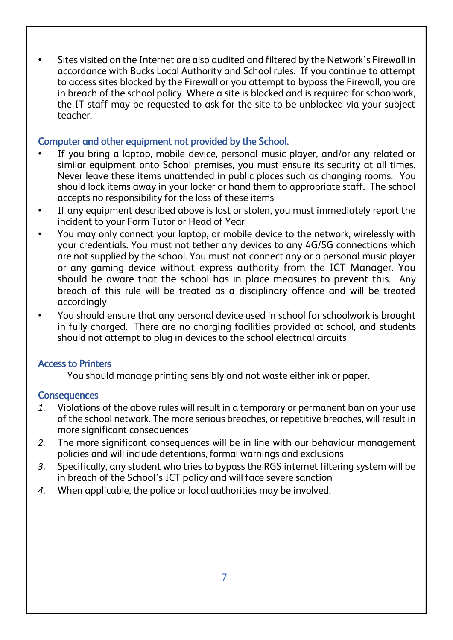• Sites visited on the Internet are also audited and filtered by the Network's Firewall in accordance with Bucks Local Authority and School rules. If you continue to attempt to access sites blocked by the Firewall or you attempt to bypass the Firewall, you are in breach of the school policy. Where a site is blocked and is required for schoolwork, the IT staff may be requested to ask for the site to be unblocked via your subject teacher.

#### Computer and other equipment not provided by the School.

- If vou bring a laptop, mobile device, personal music player, and/or any related or similar equipment onto School premises, you must ensure its security at all times. Never leave these items unattended in public places such as changing rooms. You should lock items away in your locker or hand them to appropriate staff. The school accepts no responsibility for the loss of these items
- If any equipment described above is lost or stolen, you must immediately report the incident to your Form Tutor or Head of Year
- You may only connect your laptop, or mobile device to the network, wirelessly with your credentials. You must not tether any devices to any 4G/5G connections which are not supplied by the school. You must not connect any or a personal music player or any gaming device without express authority from the ICT Manager. You should be aware that the school has in place measures to prevent this. Any breach of this rule will be treated as a disciplinary offence and will be treated accordingly
- You should ensure that any personal device used in school for schoolwork is brought in fully charged. There are no charging facilities provided at school, and students should not attempt to plug in devices to the school electrical circuits

#### Access to Printers

You should manage printing sensibly and not waste either ink or paper.

#### **Consequences**

- *1.* Violations of the above rules will result in a temporary or permanent ban on your use of the school network. The more serious breaches, or repetitive breaches, will result in more significant consequences
- *2.* The more significant consequences will be in line with our behaviour management policies and will include detentions, formal warnings and exclusions
- *3.* Specifically, any student who tries to bypass the RGS internet filtering system will be in breach of the School's ICT policy and will face severe sanction
- *4.* When applicable, the police or local authorities may be involved.